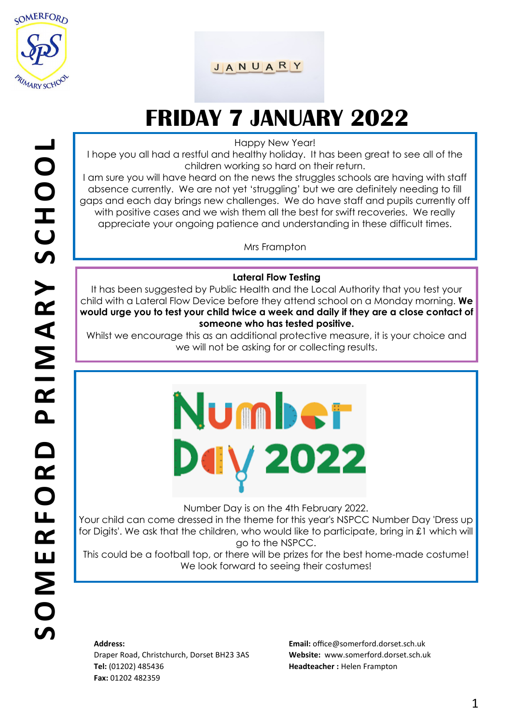

#### JANUARY

### **FRIDAY 7 JANUARY 2022**

Happy New Year!

I hope you all had a restful and healthy holiday. It has been great to see all of the children working so hard on their return.

I am sure you will have heard on the news the struggles schools are having with staff absence currently. We are not yet 'struggling' but we are definitely needing to fill gaps and each day brings new challenges. We do have staff and pupils currently off with positive cases and we wish them all the best for swift recoveries. We really appreciate your ongoing patience and understanding in these difficult times.

Mrs Frampton

#### **Lateral Flow Testing**

It has been suggested by Public Health and the Local Authority that you test your child with a Lateral Flow Device before they attend school on a Monday morning. **We would urge you to test your child twice a week and daily if they are a close contact of someone who has tested positive.** 

Whilst we encourage this as an additional protective measure, it is your choice and we will not be asking for or collecting results.

# Number V 2022

Number Day is on the 4th February 2022.

Your child can come dressed in the theme for this year's NSPCC Number Day 'Dress up for Digits'. We ask that the children, who would like to participate, bring in £1 which will go to the NSPCC.

This could be a football top, or there will be prizes for the best home-made costume! We look forward to seeing their costumes!

#### **Address:**

Draper Road, Christchurch, Dorset BH23 3AS **Tel:** (01202) 485436 **Fax:** 01202 482359

**Email:** office@somerford.dorset.sch.uk **Website:** www.somerford.dorset.sch.uk **Headteacher :** Helen Frampton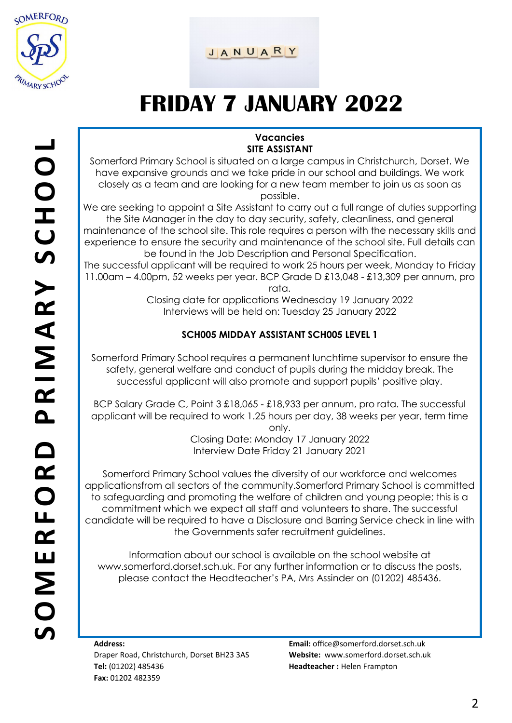

#### JANUARY

### **FRIDAY 7 JANUARY 2022**

#### **Vacancies SITE ASSISTANT**

Somerford Primary School is situated on a large campus in Christchurch, Dorset. We have expansive grounds and we take pride in our school and buildings. We work closely as a team and are looking for a new team member to join us as soon as possible.

We are seeking to appoint a Site Assistant to carry out a full range of duties supporting the Site Manager in the day to day security, safety, cleanliness, and general maintenance of the school site. This role requires a person with the necessary skills and experience to ensure the security and maintenance of the school site. Full details can be found in the Job Description and Personal Specification.

The successful applicant will be required to work 25 hours per week, Monday to Friday 11.00am – 4.00pm, 52 weeks per year. BCP Grade D £13,048 - £13,309 per annum, pro rata.

Closing date for applications Wednesday 19 January 2022 Interviews will be held on: Tuesday 25 January 2022

#### **SCH005 MIDDAY ASSISTANT SCH005 LEVEL 1**

Somerford Primary School requires a permanent lunchtime supervisor to ensure the safety, general welfare and conduct of pupils during the midday break. The successful applicant will also promote and support pupils' positive play.

BCP Salary Grade C, Point 3 £18,065 - £18,933 per annum, pro rata. The successful applicant will be required to work 1.25 hours per day, 38 weeks per year, term time only.

Closing Date: Monday 17 January 2022 Interview Date Friday 21 January 2021

Somerford Primary School values the diversity of our workforce and welcomes applicationsfrom all sectors of the community.Somerford Primary School is committed to safeguarding and promoting the welfare of children and young people; this is a commitment which we expect all staff and volunteers to share. The successful candidate will be required to have a Disclosure and Barring Service check in line with the Governments safer recruitment guidelines.

Information about our school is available on the school website at www.somerford.dorset.sch.uk. For any further information or to discuss the posts, please contact the Headteacher's PA, Mrs Assinder on (01202) 485436.

**Address:**  Draper Road, Christchurch, Dorset BH23 3AS **Tel:** (01202) 485436 **Fax:** 01202 482359

**Email:** office@somerford.dorset.sch.uk **Website:** www.somerford.dorset.sch.uk **Headteacher :** Helen Frampton